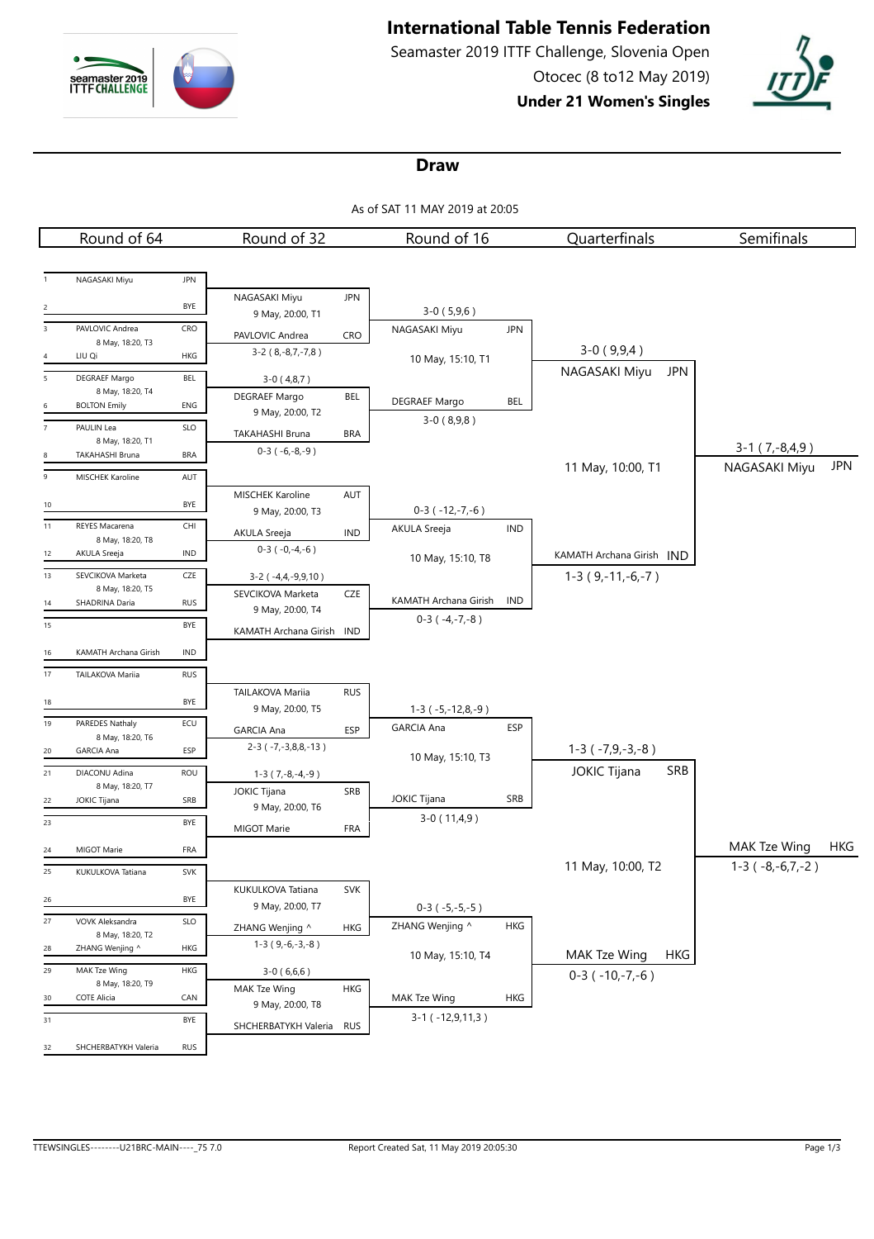

# **International Table Tennis Federation**

Seamaster 2019 ITTF Challenge, Slovenia Open Otocec (8 to12 May 2019)

**Under 21 Women's Singles**



#### **Draw**

As of SAT 11 MAY 2019 at 20:05

|                 | Round of 64                             |            | Round of 32                                |            | Round of 16                           |            | Quarterfinals                     | Semifinals             |            |
|-----------------|-----------------------------------------|------------|--------------------------------------------|------------|---------------------------------------|------------|-----------------------------------|------------------------|------------|
|                 |                                         |            |                                            |            |                                       |            |                                   |                        |            |
|                 | NAGASAKI Miyu                           | <b>JPN</b> |                                            |            |                                       |            |                                   |                        |            |
|                 |                                         | BYE        | NAGASAKI Miyu                              | <b>JPN</b> | $3-0(5,9,6)$                          |            |                                   |                        |            |
| $\overline{3}$  | PAVLOVIC Andrea                         | CRO        | 9 May, 20:00, T1                           |            | NAGASAKI Miyu                         | <b>JPN</b> |                                   |                        |            |
|                 | 8 May, 18:20, T3                        |            | PAVLOVIC Andrea<br>$3-2$ ( $8,-8,7,-7,8$ ) | <b>CRO</b> |                                       |            | $3-0(9,9,4)$                      |                        |            |
| 4               | LIU Qi                                  | HKG        |                                            |            | 10 May, 15:10, T1                     |            |                                   |                        |            |
| $5\overline{5}$ | DEGRAEF Margo                           | BEL        | $3-0(4,8,7)$                               |            |                                       |            | NAGASAKI Miyu<br>JPN              |                        |            |
| 6               | 8 May, 18:20, T4<br><b>BOLTON Emily</b> | ENG        | DEGRAEF Margo                              | <b>BEL</b> | DEGRAEF Margo                         | BEL        |                                   |                        |            |
| $\overline{7}$  | PAULIN Lea                              | SLO        | 9 May, 20:00, T2                           |            | $3-0(8,9,8)$                          |            |                                   |                        |            |
|                 | 8 May, 18:20, T1                        |            | TAKAHASHI Bruna                            | <b>BRA</b> |                                       |            |                                   | $3-1(7,-8,4,9)$        |            |
|                 | TAKAHASHI Bruna                         | <b>BRA</b> | $0-3(-6,-8,-9)$                            |            |                                       |            | 11 May, 10:00, T1                 | NAGASAKI Miyu          | <b>JPN</b> |
| $\overline{9}$  | MISCHEK Karoline                        | AUT        |                                            |            |                                       |            |                                   |                        |            |
| 10              |                                         | BYE        | MISCHEK Karoline                           | AUT        |                                       |            |                                   |                        |            |
| 11              | <b>REYES Macarena</b>                   | CHI        | 9 May, 20:00, T3                           |            | $0-3$ ( $-12,-7,-6$ )<br>AKULA Sreeja | <b>IND</b> |                                   |                        |            |
|                 | 8 May, 18:20, T8                        |            | AKULA Sreeja                               | IND        |                                       |            |                                   |                        |            |
| 12              | AKULA Sreeja                            | <b>IND</b> | $0-3(-0,-4,-6)$                            |            | 10 May, 15:10, T8                     |            | KAMATH Archana Girish IND         |                        |            |
| 13              | SEVCIKOVA Marketa                       | CZE        | $3-2$ ( $-4,4,-9,9,10$ )                   |            |                                       |            | $1-3(9,-11,-6,-7)$                |                        |            |
| 14              | 8 May, 18:20, T5<br>SHADRINA Daria      | <b>RUS</b> | SEVCIKOVA Marketa                          | CZE        | KAMATH Archana Girish                 | IND        |                                   |                        |            |
| 15              |                                         | BYE        | 9 May, 20:00, T4                           |            | $0-3(-4,-7,-8)$                       |            |                                   |                        |            |
|                 |                                         |            | KAMATH Archana Girish IND                  |            |                                       |            |                                   |                        |            |
| 16              | KAMATH Archana Girish                   | <b>IND</b> |                                            |            |                                       |            |                                   |                        |            |
| 17              | TAILAKOVA Mariia                        | <b>RUS</b> |                                            |            |                                       |            |                                   |                        |            |
| 18              |                                         | BYE        | TAILAKOVA Mariia                           | <b>RUS</b> |                                       |            |                                   |                        |            |
| 19              | PAREDES Nathaly                         | ECU        | 9 May, 20:00, T5                           |            | $1-3$ ( $-5,-12,8,-9$ )               |            |                                   |                        |            |
|                 | 8 May, 18:20, T6                        |            | <b>GARCIA Ana</b>                          | <b>ESP</b> | <b>GARCIA Ana</b>                     | <b>ESP</b> |                                   |                        |            |
| 20              | <b>GARCIA Ana</b>                       | ESP        | $2-3$ ( $-7, -3, 8, 8, -13$ )              |            | 10 May, 15:10, T3                     |            | $1-3$ ( $-7,9,-3,-8$ )            |                        |            |
| 21              | DIACONU Adina                           | <b>ROU</b> | $1-3(7,-8,-4,-9)$                          |            |                                       |            | <b>JOKIC Tijana</b><br><b>SRB</b> |                        |            |
| 22              | 8 May, 18:20, T7<br>JOKIC Tijana        | SRB        | <b>JOKIC Tijana</b>                        | SRB        | <b>JOKIC Tijana</b>                   | SRB        |                                   |                        |            |
| 23              |                                         | BYE        | 9 May, 20:00, T6                           |            | $3-0(11,4,9)$                         |            |                                   |                        |            |
|                 |                                         |            | MIGOT Marie                                | <b>FRA</b> |                                       |            |                                   |                        |            |
| 24              | MIGOT Marie                             | FRA        |                                            |            |                                       |            |                                   | MAK Tze Wing           | HKG        |
| 25              | KUKULKOVA Tatiana                       | SVK        |                                            |            |                                       |            | 11 May, 10:00, T2                 | $1-3$ ( $-8,-6,7,-2$ ) |            |
| 26              |                                         | BYE        | KUKULKOVA Tatiana                          | SVK        |                                       |            |                                   |                        |            |
| 27              | VOVK Aleksandra                         | SLO        | 9 May, 20:00, T7                           |            | $0-3$ ( $-5,-5,-5$ )                  |            |                                   |                        |            |
|                 | 8 May, 18:20, T2                        |            | ZHANG Wenjing ^                            | HKG        | ZHANG Wenjing ^                       | <b>HKG</b> |                                   |                        |            |
| 28              | ZHANG Wenjing ^                         | HKG        | $1-3(9,-6,-3,-8)$                          |            | 10 May, 15:10, T4                     |            | MAK Tze Wing<br><b>HKG</b>        |                        |            |
| 29              | MAK Tze Wing                            | HKG        | $3-0(6,6,6)$                               |            |                                       |            | $0-3$ ( $-10,-7,-6$ )             |                        |            |
| 30              | 8 May, 18:20, T9<br>COTE Alicia         | CAN        | MAK Tze Wing                               | <b>HKG</b> | MAK Tze Wing                          | <b>HKG</b> |                                   |                        |            |
| 31              |                                         | BYE        | 9 May, 20:00, T8                           |            | $3-1$ ( $-12,9,11,3$ )                |            |                                   |                        |            |
|                 |                                         |            | SHCHERBATYKH Valeria                       | <b>RUS</b> |                                       |            |                                   |                        |            |
| 32              | SHCHERBATYKH Valeria                    | <b>RUS</b> |                                            |            |                                       |            |                                   |                        |            |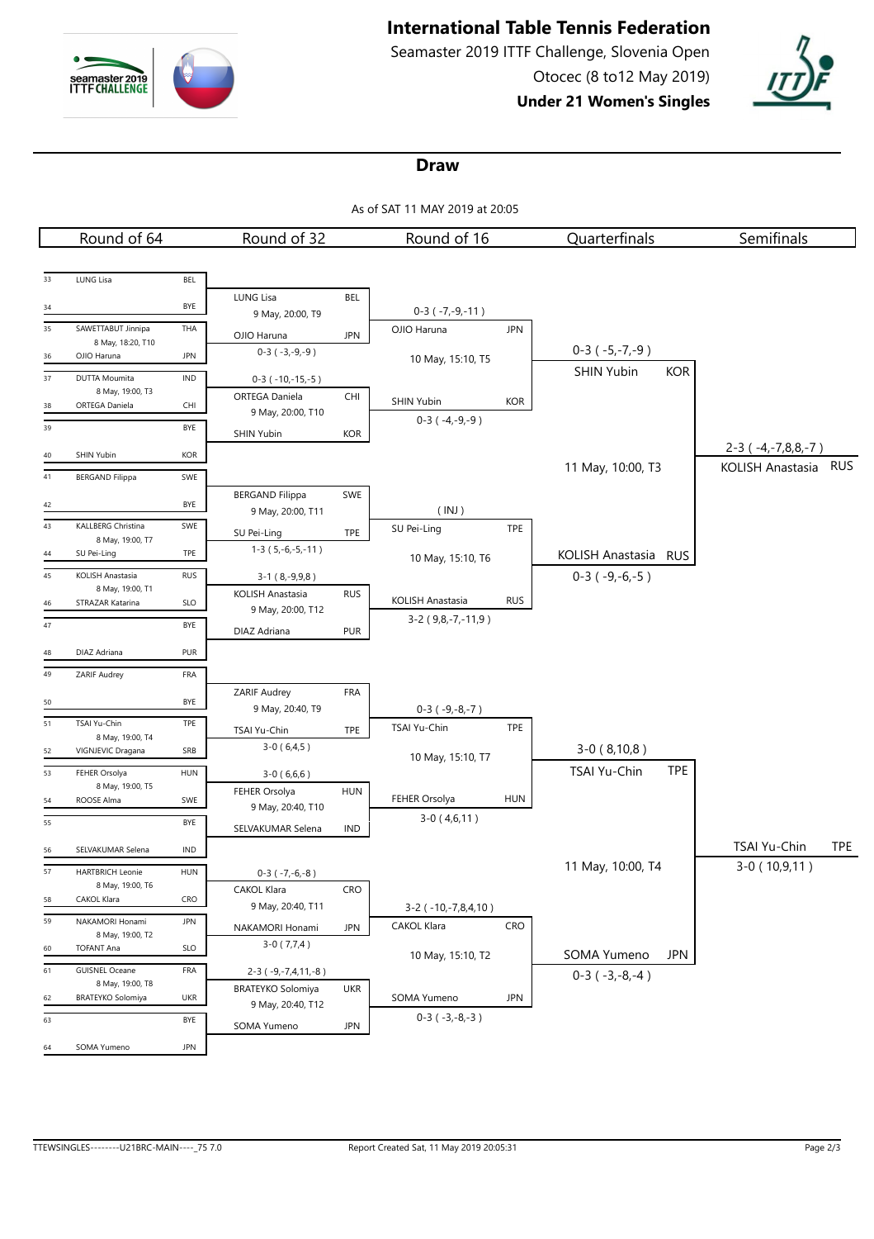

# **International Table Tennis Federation**

Seamaster 2019 ITTF Challenge, Slovenia Open Otocec (8 to12 May 2019)

**Under 21 Women's Singles**



#### **Draw**

As of SAT 11 MAY 2019 at 20:05

|    | Round of 64                                  |            | Round of 32                   |            | Round of 16               |            | Quarterfinals              | Semifinals                                       |            |
|----|----------------------------------------------|------------|-------------------------------|------------|---------------------------|------------|----------------------------|--------------------------------------------------|------------|
|    |                                              |            |                               |            |                           |            |                            |                                                  |            |
| 33 | LUNG Lisa                                    | BEL        |                               |            |                           |            |                            |                                                  |            |
| 34 |                                              | BYE        | LUNG Lisa                     | <b>BEL</b> |                           |            |                            |                                                  |            |
|    |                                              |            | 9 May, 20:00, T9              |            | $0-3$ ( $-7,-9,-11$ )     |            |                            |                                                  |            |
| 35 | SAWETTABUT Jinnipa<br>8 May, 18:20, T10      | THA        | OJIO Haruna                   | <b>JPN</b> | OJIO Haruna               | <b>JPN</b> |                            |                                                  |            |
| 36 | OJIO Haruna                                  | <b>JPN</b> | $0-3(-3,-9,-9)$               |            | 10 May, 15:10, T5         |            | $0-3(-5,-7,-9)$            |                                                  |            |
| 37 | DUTTA Moumita                                | <b>IND</b> | $0-3$ ( $-10,-15,-5$ )        |            |                           |            | SHIN Yubin<br><b>KOR</b>   |                                                  |            |
| 38 | 8 May, 19:00, T3<br>ORTEGA Daniela           | CHI        | <b>ORTEGA Daniela</b>         | CHI        | SHIN Yubin                | <b>KOR</b> |                            |                                                  |            |
| 39 |                                              | BYE        | 9 May, 20:00, T10             |            | $0-3(-4,-9,-9)$           |            |                            |                                                  |            |
|    |                                              |            | SHIN Yubin                    | <b>KOR</b> |                           |            |                            |                                                  |            |
| 40 | SHIN Yubin                                   | <b>KOR</b> |                               |            |                           |            |                            | $2-3$ ( $-4,-7,8,8,-7$ )<br>KOLISH Anastasia RUS |            |
| 41 | <b>BERGAND Filippa</b>                       | SWE        |                               |            |                           |            | 11 May, 10:00, T3          |                                                  |            |
| 42 |                                              | BYE        | <b>BERGAND Filippa</b>        | SWE        |                           |            |                            |                                                  |            |
| 43 |                                              | SWE        | 9 May, 20:00, T11             |            | (INJ)                     |            |                            |                                                  |            |
|    | KALLBERG Christina<br>8 May, 19:00, T7       |            | SU Pei-Ling                   | TPE        | SU Pei-Ling               | TPE        |                            |                                                  |            |
| 44 | SU Pei-Ling                                  | TPE        | $1-3(5,-6,-5,-11)$            |            | 10 May, 15:10, T6         |            | KOLISH Anastasia RUS       |                                                  |            |
| 45 | KOLISH Anastasia                             | <b>RUS</b> | $3-1(8,-9,9,8)$               |            |                           |            | $0-3$ ( $-9,-6,-5$ )       |                                                  |            |
| 46 | 8 May, 19:00, T1<br>STRAZAR Katarina         | SLO        | KOLISH Anastasia              | <b>RUS</b> | KOLISH Anastasia          | <b>RUS</b> |                            |                                                  |            |
|    |                                              |            | 9 May, 20:00, T12             |            | $3-2$ (9,8, -7, -11,9)    |            |                            |                                                  |            |
| 47 |                                              | BYE        | DIAZ Adriana                  | <b>PUR</b> |                           |            |                            |                                                  |            |
| 48 | DIAZ Adriana                                 | PUR        |                               |            |                           |            |                            |                                                  |            |
| 49 | ZARIF Audrey                                 | FRA        |                               |            |                           |            |                            |                                                  |            |
| 50 |                                              | BYE        | ZARIF Audrey                  | <b>FRA</b> |                           |            |                            |                                                  |            |
| 51 | TSAI Yu-Chin                                 | TPE        | 9 May, 20:40, T9              |            | $0-3$ ( $-9,-8,-7$ )      |            |                            |                                                  |            |
|    | 8 May, 19:00, T4                             |            | TSAI Yu-Chin                  | TPE        | TSAI Yu-Chin              | TPE        |                            |                                                  |            |
| 52 | VIGNJEVIC Dragana                            | SRB        | $3-0(6,4,5)$                  |            | 10 May, 15:10, T7         |            | $3-0(8,10,8)$              |                                                  |            |
| 53 | FEHER Orsolya                                | HUN        | $3-0(6,6,6)$                  |            |                           |            | TSAI Yu-Chin<br><b>TPE</b> |                                                  |            |
| 54 | 8 May, 19:00, T5<br>ROOSE Alma               | SWE        | FEHER Orsolya                 | <b>HUN</b> | FEHER Orsolya             | <b>HUN</b> |                            |                                                  |            |
| 55 |                                              | BYE        | 9 May, 20:40, T10             |            | $3-0(4,6,11)$             |            |                            |                                                  |            |
|    |                                              |            | SELVAKUMAR Selena             | IND        |                           |            |                            |                                                  |            |
| 56 | SELVAKUMAR Selena                            | IND        |                               |            |                           |            |                            | TSAI Yu-Chin                                     | <b>TPE</b> |
| 57 | <b>HARTBRICH Leonie</b>                      | HUN        | $0-3$ ( $-7,-6,-8$ )          |            |                           |            | 11 May, 10:00, T4          | $3-0(10,9,11)$                                   |            |
| 58 | 8 May, 19:00, T6<br>CAKOL Klara              | CRO        | CAKOL Klara                   | CRO        |                           |            |                            |                                                  |            |
| 59 | NAKAMORI Honami                              | <b>JPN</b> | 9 May, 20:40, T11             |            | $3-2$ ( $-10,-7,8,4,10$ ) |            |                            |                                                  |            |
|    | 8 May, 19:00, T2                             |            | NAKAMORI Honami               | <b>JPN</b> | <b>CAKOL Klara</b>        | CRO        |                            |                                                  |            |
| 60 | <b>TOFANT Ana</b>                            | SLO        | $3-0(7,7,4)$                  |            | 10 May, 15:10, T2         |            | SOMA Yumeno<br><b>JPN</b>  |                                                  |            |
| 61 | <b>GUISNEL Oceane</b>                        | FRA        | $2-3$ ( $-9, -7, 4, 11, -8$ ) |            |                           |            | $0-3(-3,-8,-4)$            |                                                  |            |
| 62 | 8 May, 19:00, T8<br><b>BRATEYKO Solomiya</b> | UKR        | <b>BRATEYKO Solomiya</b>      | <b>UKR</b> | SOMA Yumeno               | <b>JPN</b> |                            |                                                  |            |
| 63 |                                              | BYE        | 9 May, 20:40, T12             |            | $0-3(-3,-8,-3)$           |            |                            |                                                  |            |
|    |                                              |            | SOMA Yumeno                   | <b>JPN</b> |                           |            |                            |                                                  |            |
| 64 | SOMA Yumeno                                  | <b>JPN</b> |                               |            |                           |            |                            |                                                  |            |